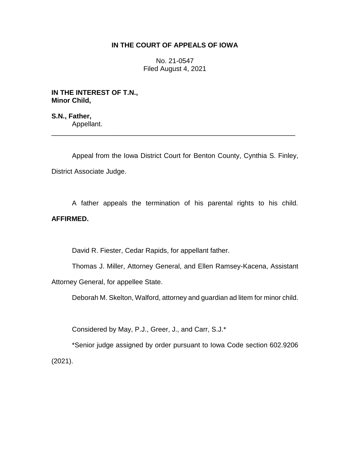## **IN THE COURT OF APPEALS OF IOWA**

No. 21-0547 Filed August 4, 2021

**IN THE INTEREST OF T.N., Minor Child,**

**S.N., Father,** Appellant. \_\_\_\_\_\_\_\_\_\_\_\_\_\_\_\_\_\_\_\_\_\_\_\_\_\_\_\_\_\_\_\_\_\_\_\_\_\_\_\_\_\_\_\_\_\_\_\_\_\_\_\_\_\_\_\_\_\_\_\_\_\_\_\_

Appeal from the Iowa District Court for Benton County, Cynthia S. Finley, District Associate Judge.

A father appeals the termination of his parental rights to his child. **AFFIRMED.**

David R. Fiester, Cedar Rapids, for appellant father.

Thomas J. Miller, Attorney General, and Ellen Ramsey-Kacena, Assistant Attorney General, for appellee State.

Deborah M. Skelton, Walford, attorney and guardian ad litem for minor child.

Considered by May, P.J., Greer, J., and Carr, S.J.\*

\*Senior judge assigned by order pursuant to Iowa Code section 602.9206 (2021).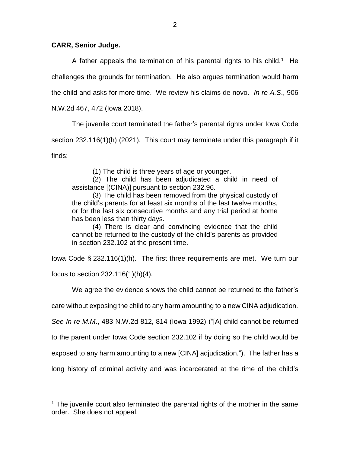## **CARR, Senior Judge.**

A father appeals the termination of his parental rights to his child.<sup>1</sup> He challenges the grounds for termination. He also argues termination would harm the child and asks for more time. We review his claims de novo. *In re A.S*., 906 N.W.2d 467, 472 (Iowa 2018).

The juvenile court terminated the father's parental rights under Iowa Code section 232.116(1)(h) (2021). This court may terminate under this paragraph if it finds:

(1) The child is three years of age or younger.

(2) The child has been adjudicated a child in need of assistance [(CINA)] pursuant to section 232.96.

(3) The child has been removed from the physical custody of the child's parents for at least six months of the last twelve months, or for the last six consecutive months and any trial period at home has been less than thirty days.

(4) There is clear and convincing evidence that the child cannot be returned to the custody of the child's parents as provided in section 232.102 at the present time.

Iowa Code § 232.116(1)(h). The first three requirements are met. We turn our

focus to section 232.116(1)(h)(4).

 $\overline{a}$ 

We agree the evidence shows the child cannot be returned to the father's

care without exposing the child to any harm amounting to a new CINA adjudication.

*See In re M.M*., 483 N.W.2d 812, 814 (Iowa 1992) ("[A] child cannot be returned

to the parent under Iowa Code section 232.102 if by doing so the child would be

exposed to any harm amounting to a new [CINA] adjudication."). The father has a

long history of criminal activity and was incarcerated at the time of the child's

 $1$  The juvenile court also terminated the parental rights of the mother in the same order. She does not appeal.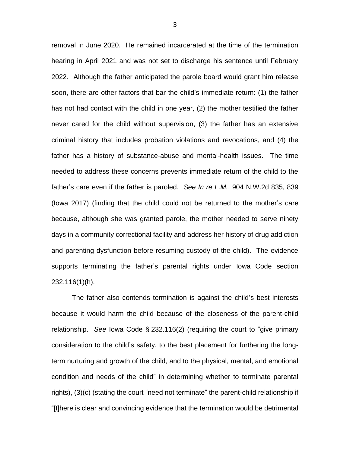removal in June 2020. He remained incarcerated at the time of the termination hearing in April 2021 and was not set to discharge his sentence until February 2022. Although the father anticipated the parole board would grant him release soon, there are other factors that bar the child's immediate return: (1) the father has not had contact with the child in one year, (2) the mother testified the father never cared for the child without supervision, (3) the father has an extensive criminal history that includes probation violations and revocations, and (4) the father has a history of substance-abuse and mental-health issues. The time needed to address these concerns prevents immediate return of the child to the father's care even if the father is paroled. *See In re L.M.*, 904 N.W.2d 835, 839 (Iowa 2017) (finding that the child could not be returned to the mother's care because, although she was granted parole, the mother needed to serve ninety days in a community correctional facility and address her history of drug addiction and parenting dysfunction before resuming custody of the child). The evidence supports terminating the father's parental rights under Iowa Code section 232.116(1)(h).

The father also contends termination is against the child's best interests because it would harm the child because of the closeness of the parent-child relationship. *See* Iowa Code § 232.116(2) (requiring the court to "give primary consideration to the child's safety, to the best placement for furthering the longterm nurturing and growth of the child, and to the physical, mental, and emotional condition and needs of the child" in determining whether to terminate parental rights), (3)(c) (stating the court "need not terminate" the parent-child relationship if "[t]here is clear and convincing evidence that the termination would be detrimental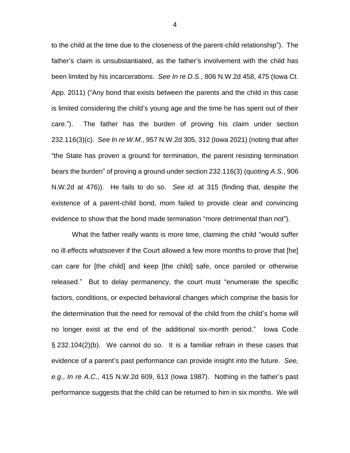to the child at the time due to the closeness of the parent-child relationship"). The father's claim is unsubstantiated, as the father's involvement with the child has been limited by his incarcerations. *See In re D.S*., 806 N.W.2d 458, 475 (Iowa Ct. App. 2011) ("Any bond that exists between the parents and the child in this case is limited considering the child's young age and the time he has spent out of their care."). The father has the burden of proving his claim under section 232.116(3)(c). *See In re W.M*., 957 N.W.2d 305, 312 (Iowa 2021) (noting that after "the State has proven a ground for termination, the parent resisting termination bears the burden" of proving a ground under section 232.116(3) (quoting *A.S.*, 906 N.W.2d at 476)). He fails to do so. *See id.* at 315 (finding that, despite the existence of a parent-child bond, mom failed to provide clear and convincing evidence to show that the bond made termination "more detrimental than not").

What the father really wants is more time, claiming the child "would suffer no ill effects whatsoever if the Court allowed a few more months to prove that [he] can care for [the child] and keep [the child] safe, once paroled or otherwise released." But to delay permanency, the court must "enumerate the specific factors, conditions, or expected behavioral changes which comprise the basis for the determination that the need for removal of the child from the child's home will no longer exist at the end of the additional six-month period." Iowa Code § 232.104(2)(b). We cannot do so. It is a familiar refrain in these cases that evidence of a parent's past performance can provide insight into the future. *See, e.g.*, *In re A.C*., 415 N.W.2d 609, 613 (Iowa 1987). Nothing in the father's past performance suggests that the child can be returned to him in six months. We will

4